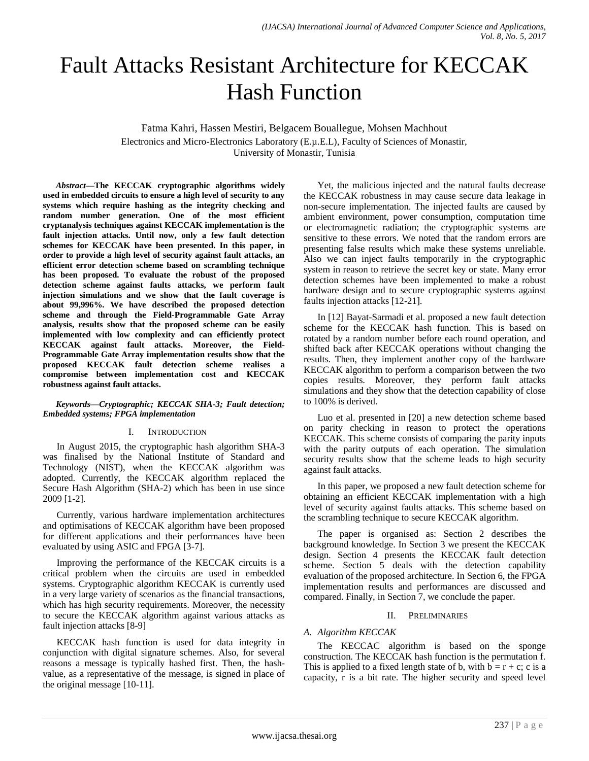# Fault Attacks Resistant Architecture for KECCAK Hash Function

Fatma Kahri, Hassen Mestiri, Belgacem Bouallegue, Mohsen Machhout Electronics and Micro-Electronics Laboratory (E.µ.E.L), Faculty of Sciences of Monastir, University of Monastir, Tunisia

*Abstract***—The KECCAK cryptographic algorithms widely used in embedded circuits to ensure a high level of security to any systems which require hashing as the integrity checking and random number generation. One of the most efficient cryptanalysis techniques against KECCAK implementation is the fault injection attacks. Until now, only a few fault detection schemes for KECCAK have been presented. In this paper, in order to provide a high level of security against fault attacks, an efficient error detection scheme based on scrambling technique has been proposed. To evaluate the robust of the proposed detection scheme against faults attacks, we perform fault injection simulations and we show that the fault coverage is about 99,996%. We have described the proposed detection scheme and through the Field-Programmable Gate Array analysis, results show that the proposed scheme can be easily implemented with low complexity and can efficiently protect KECCAK against fault attacks. Moreover, the Field-Programmable Gate Array implementation results show that the proposed KECCAK fault detection scheme realises a compromise between implementation cost and KECCAK robustness against fault attacks.**

#### *Keywords—Cryptographic; KECCAK SHA-3; Fault detection; Embedded systems; FPGA implementation*

## I. INTRODUCTION

In August 2015, the cryptographic hash algorithm SHA-3 was finalised by the National Institute of Standard and Technology (NIST), when the KECCAK algorithm was adopted. Currently, the KECCAK algorithm replaced the Secure Hash Algorithm (SHA-2) which has been in use since 2009 [1-2].

Currently, various hardware implementation architectures and optimisations of KECCAK algorithm have been proposed for different applications and their performances have been evaluated by using ASIC and FPGA [3-7].

Improving the performance of the KECCAK circuits is a critical problem when the circuits are used in embedded systems. Cryptographic algorithm KECCAK is currently used in a very large variety of scenarios as the financial transactions, which has high security requirements. Moreover, the necessity to secure the KECCAK algorithm against various attacks as fault injection attacks [8-9]

KECCAK hash function is used for data integrity in conjunction with digital signature schemes. Also, for several reasons a message is typically hashed first. Then, the hashvalue, as a representative of the message, is signed in place of the original message [10-11].

Yet, the malicious injected and the natural faults decrease the KECCAK robustness in may cause secure data leakage in non-secure implementation. The injected faults are caused by ambient environment, power consumption, computation time or electromagnetic radiation; the cryptographic systems are sensitive to these errors. We noted that the random errors are presenting false results which make these systems unreliable. Also we can inject faults temporarily in the cryptographic system in reason to retrieve the secret key or state. Many error detection schemes have been implemented to make a robust hardware design and to secure cryptographic systems against faults injection attacks [12-21].

In [12] Bayat-Sarmadi et al. proposed a new fault detection scheme for the KECCAK hash function. This is based on rotated by a random number before each round operation, and shifted back after KECCAK operations without changing the results. Then, they implement another copy of the hardware KECCAK algorithm to perform a comparison between the two copies results. Moreover, they perform fault attacks simulations and they show that the detection capability of close to 100% is derived.

Luo et al. presented in [20] a new detection scheme based on parity checking in reason to protect the operations KECCAK. This scheme consists of comparing the parity inputs with the parity outputs of each operation. The simulation security results show that the scheme leads to high security against fault attacks.

In this paper, we proposed a new fault detection scheme for obtaining an efficient KECCAK implementation with a high level of security against faults attacks. This scheme based on the scrambling technique to secure KECCAK algorithm.

The paper is organised as: Section 2 describes the background knowledge. In Section 3 we present the KECCAK design. Section 4 presents the KECCAK fault detection scheme. Section 5 deals with the detection capability evaluation of the proposed architecture. In Section 6, the FPGA implementation results and performances are discussed and compared. Finally, in Section 7, we conclude the paper.

## II. PRELIMINARIES

# *A. Algorithm KECCAK*

The KECCAC algorithm is based on the sponge construction. The KECCAK hash function is the permutation f. This is applied to a fixed length state of b, with  $b = r + c$ ; c is a capacity, r is a bit rate. The higher security and speed level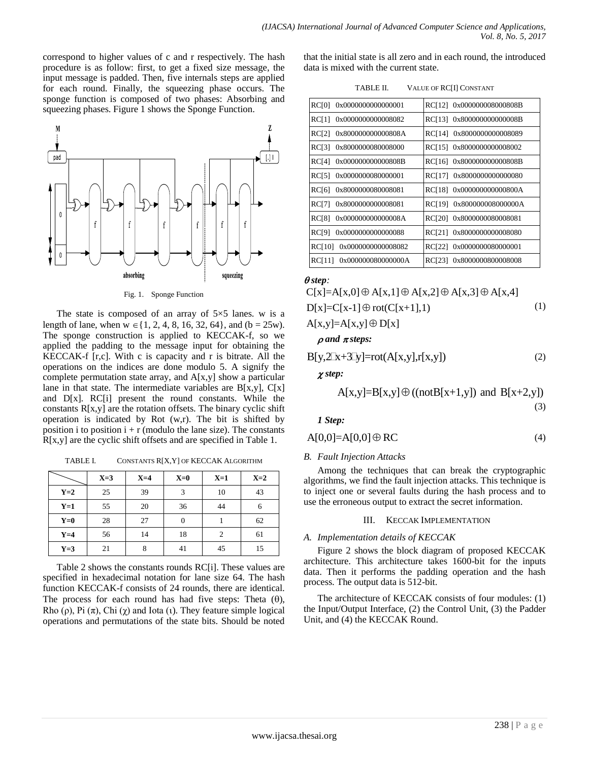correspond to higher values of c and r respectively. The hash procedure is as follow: first, to get a fixed size message, the input message is padded. Then, five internals steps are applied for each round. Finally, the squeezing phase occurs. The sponge function is composed of two phases: Absorbing and squeezing phases. Figure 1 shows the Sponge Function.



Fig. 1. Sponge Function

The state is composed of an array of  $5\times 5$  lanes. w is a length of lane, when  $w \in \{1, 2, 4, 8, 16, 32, 64\}$ , and  $(b = 25w)$ . The sponge construction is applied to KECCAK-f, so we applied the padding to the message input for obtaining the KECCAK-f [r,c]. With c is capacity and r is bitrate. All the operations on the indices are done modulo 5. A signify the complete permutation state array, and  $A[x,y]$  show a particular lane in that state. The intermediate variables are  $B[x,y]$ ,  $C[x]$ and D[x]. RC[i] present the round constants. While the constants  $R[x,y]$  are the rotation offsets. The binary cyclic shift operation is indicated by Rot (w,r). The bit is shifted by position i to position  $i + r$  (modulo the lane size). The constants R[x,y] are the cyclic shift offsets and are specified in Table 1.

TABLE I. CONSTANTS R[X,Y] OF KECCAK ALGORITHM

|       | $X=3$ | $X=4$ | $X=0$ | $X=1$          | $X=2$ |
|-------|-------|-------|-------|----------------|-------|
| $Y=2$ | 25    | 39    | 3     | 10             | 43    |
| $Y=1$ | 55    | 20    | 36    | 44             | 6     |
| $Y=0$ | 28    | 27    |       |                | 62    |
| $Y=4$ | 56    | 14    | 18    | $\overline{2}$ | 61    |
| $Y=3$ | 21    | 8     | 41    | 45             | 15    |

Table 2 shows the constants rounds RC[i]. These values are specified in hexadecimal notation for lane size 64. The hash function KECCAK-f consists of 24 rounds, there are identical. The process for each round has had five steps: Theta  $(\theta)$ , Rho (ρ), Pi  $(\pi)$ , Chi  $(\gamma)$  and Iota (ι). They feature simple logical operations and permutations of the state bits. Should be noted that the initial state is all zero and in each round, the introduced data is mixed with the current state.

| TABLE II. | VALUE OF RC[I] CONSTANT |
|-----------|-------------------------|
|-----------|-------------------------|

| 0x0000000000000001 | 0x000000008000808B |
|--------------------|--------------------|
| RC[0]              | RC[12]             |
| 0x0000000000008082 | RC[13]             |
| RC[1]              | 0x800000000000008B |
| RC[2]              | RC[14]             |
| 0x800000000000808A | 0x8000000000008089 |
| RC[3]              | RC[15]             |
| 0x8000000080008000 | 0x8000000000008002 |
| RC[4]              | 0x800000000000808B |
| 0x000000000000808B | RC[16]             |
| <b>RC[5]</b>       | 0x8000000000000080 |
| 0x0000000080000001 | RC[17]             |
| 0x8000000080008081 | 0x000000000000800A |
| RC[6]              | RC[18]             |
| RC[7]              | <b>RC[19]</b>      |
| 0x8000000000008081 | 0x800000008000000A |
| <b>RC[8]</b>       | <b>RC[20]</b>      |
| 0x000000000000008A | 0x8000000080008081 |
| RC[9]              | RC[21]             |
| 0x0000000000000088 | 0x8000000000008080 |
| 0x0000000000008082 | 0x0000000080000001 |
| <b>RC[10]</b>      | RC[22]             |
| 0x000000080000000A | 0x8000000800008008 |
| <b>RCI111</b>      | RC[23]             |

#### *step:*

 $\overline{\Theta}$ step:<br>C[x]=A[x,0]  $\oplus$  A[x,1]  $\oplus$  A[x,2]  $\oplus$  A[x,3]  $\oplus$  A[x,4]  $C[x]=A[x,0]\oplus A[x,1]\oplus A[x,2]\oplus A[x,3]\oplus$ <br>D[x]=C[x-1]  $\oplus$  rot(C[x+1],1) D[x]=C[x-1]⊕ rot(C[:<br>A[x,y]=A[x,y]⊕ D[x]  $A[x,y]=A[x,y]\oplus D[x]$  (1)  $\rho$  *and*  $\pi$  *steps:* 

$$
B[y,2[x+3]y]=rot(A[x,y],r[x,y])
$$
\n(2)

*step:*

p:  
A[x,y]=B[x,y] 
$$
\oplus
$$
 ((notB[x+1,y]) and B[x+2,y]) (3)

*1 Step:*

$$
A[0,0]=A[0,0]\oplus RC
$$
\n(4)

## *B. Fault Injection Attacks*

Among the techniques that can break the cryptographic algorithms, we find the fault injection attacks. This technique is to inject one or several faults during the hash process and to use the erroneous output to extract the secret information.

#### III. KECCAK IMPLEMENTATION

#### *A. Implementation details of KECCAK*

Figure 2 shows the block diagram of proposed KECCAK architecture. This architecture takes 1600-bit for the inputs data. Then it performs the padding operation and the hash process. The output data is 512-bit.

The architecture of KECCAK consists of four modules: (1) the Input/Output Interface, (2) the Control Unit, (3) the Padder Unit, and (4) the KECCAK Round.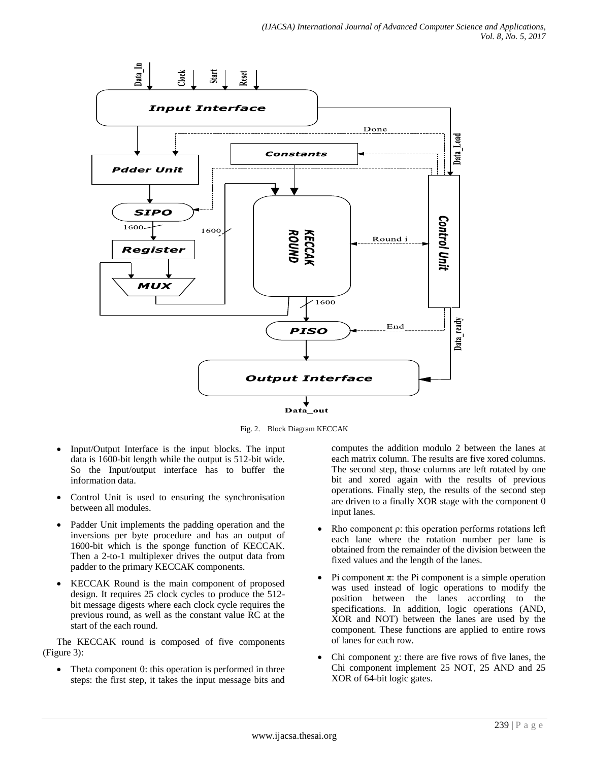

Fig. 2. Block Diagram KECCAK

- Input/Output Interface is the input blocks. The input data is 1600-bit length while the output is 512-bit wide. So the Input/output interface has to buffer the information data.
- Control Unit is used to ensuring the synchronisation between all modules.
- Padder Unit implements the padding operation and the inversions per byte procedure and has an output of 1600-bit which is the sponge function of KECCAK. Then a 2-to-1 multiplexer drives the output data from padder to the primary KECCAK components.
- KECCAK Round is the main component of proposed design. It requires 25 clock cycles to produce the 512 bit message digests where each clock cycle requires the previous round, as well as the constant value RC at the start of the each round.

The KECCAK round is composed of five components (Figure 3):

Theta component  $\theta$ : this operation is performed in three steps: the first step, it takes the input message bits and computes the addition modulo 2 between the lanes at each matrix column. The results are five xored columns. The second step, those columns are left rotated by one bit and xored again with the results of previous operations. Finally step, the results of the second step are driven to a finally XOR stage with the component  $\theta$ input lanes.

- Rho component ρ: this operation performs rotations left each lane where the rotation number per lane is obtained from the remainder of the division between the fixed values and the length of the lanes.
- Pi component  $\pi$ : the Pi component is a simple operation was used instead of logic operations to modify the position between the lanes according to the specifications. In addition, logic operations (AND, XOR and NOT) between the lanes are used by the component. These functions are applied to entire rows of lanes for each row.
- Chi component  $\gamma$ : there are five rows of five lanes, the Chi component implement 25 NOT, 25 AND and 25 XOR of 64-bit logic gates.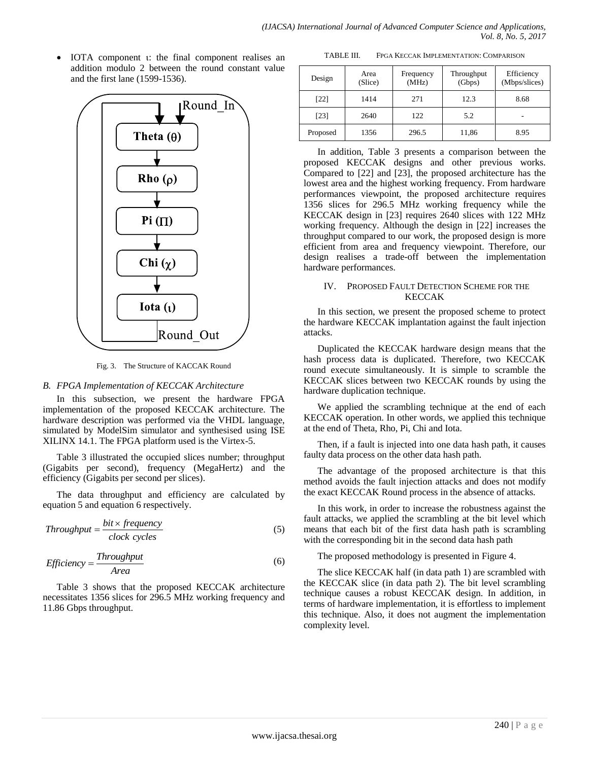IOTA component : the final component realises an addition modulo 2 between the round constant value and the first lane (1599-1536).



Fig. 3. The Structure of KACCAK Round

## *B. FPGA Implementation of KECCAK Architecture*

In this subsection, we present the hardware FPGA implementation of the proposed KECCAK architecture. The hardware description was performed via the VHDL language, simulated by ModelSim simulator and synthesised using ISE XILINX 14.1. The FPGA platform used is the Virtex-5.

Table 3 illustrated the occupied slices number; throughput (Gigabits per second), frequency (MegaHertz) and the efficiency (Gigabits per second per slices).

The data throughput and efficiency are calculated by equation 5 and equation 6 respectively.

$$
Throughout = \frac{bit \times frequency}{clock cycles}
$$
 (5)

$$
Efficiency = \frac{Throughput}{Area}
$$
 (6)

Table 3 shows that the proposed KECCAK architecture necessitates 1356 slices for 296.5 MHz working frequency and 11.86 Gbps throughput.

TABLE III. FPGA KECCAK IMPLEMENTATION: COMPARISON

| Design   | Area<br>(Slice) | Frequency<br>(MHz) | Throughput<br>(Gbps) | Efficiency<br>(Mbps/slices) |
|----------|-----------------|--------------------|----------------------|-----------------------------|
| [22]     | 1414            | 271                | 12.3                 | 8.68                        |
| [23]     | 2640            | 122                | 5.2                  |                             |
| Proposed | 1356            | 296.5              | 11,86                | 8.95                        |

In addition, Table 3 presents a comparison between the proposed KECCAK designs and other previous works. Compared to [22] and [23], the proposed architecture has the lowest area and the highest working frequency. From hardware performances viewpoint, the proposed architecture requires 1356 slices for 296.5 MHz working frequency while the KECCAK design in [23] requires 2640 slices with 122 MHz working frequency. Although the design in [22] increases the throughput compared to our work, the proposed design is more efficient from area and frequency viewpoint. Therefore, our design realises a trade-off between the implementation hardware performances.

## IV. PROPOSED FAULT DETECTION SCHEME FOR THE KECCAK

In this section, we present the proposed scheme to protect the hardware KECCAK implantation against the fault injection attacks.

Duplicated the KECCAK hardware design means that the hash process data is duplicated. Therefore, two KECCAK round execute simultaneously. It is simple to scramble the KECCAK slices between two KECCAK rounds by using the hardware duplication technique.

We applied the scrambling technique at the end of each KECCAK operation. In other words, we applied this technique at the end of Theta, Rho, Pi, Chi and Iota.

Then, if a fault is injected into one data hash path, it causes faulty data process on the other data hash path.

The advantage of the proposed architecture is that this method avoids the fault injection attacks and does not modify the exact KECCAK Round process in the absence of attacks.

In this work, in order to increase the robustness against the fault attacks, we applied the scrambling at the bit level which means that each bit of the first data hash path is scrambling with the corresponding bit in the second data hash path

The proposed methodology is presented in Figure 4.

The slice KECCAK half (in data path 1) are scrambled with the KECCAK slice (in data path 2). The bit level scrambling technique causes a robust KECCAK design. In addition, in terms of hardware implementation, it is effortless to implement this technique. Also, it does not augment the implementation complexity level.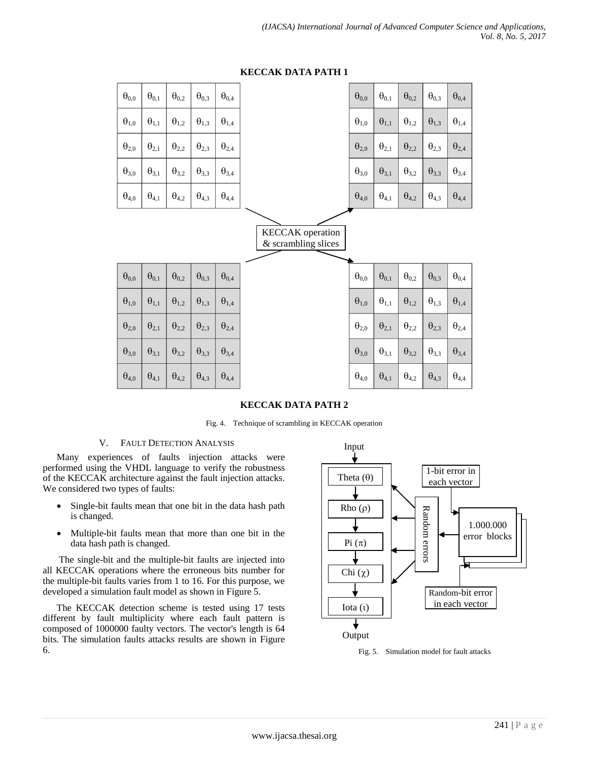| $\theta_{0,0}$ | $\Theta_{0,1}$ | $\theta_{0,2}$ | $\theta_{0,3}$ | $\Theta_{0,4}$ |                                                | $\theta_{0,0}$ | $\Theta_{0,1}$ | $\Theta_{0,2}$ | $\theta_{0,3}$ | $\Theta_{0,4}$ |
|----------------|----------------|----------------|----------------|----------------|------------------------------------------------|----------------|----------------|----------------|----------------|----------------|
| $\theta_{1,0}$ | $\Theta_{1,1}$ | $\Theta_{1,2}$ | $\Theta_{1,3}$ | $\Theta_{1,4}$ |                                                | $\theta_{1,0}$ | $\theta_{1,1}$ | $\theta_{1,2}$ | $\theta_{1,3}$ | $\Theta_{1,4}$ |
| $\theta_{2,0}$ | $\Theta_{2,1}$ | $\Theta_{2,2}$ | $\Theta_{2,3}$ | $\Theta_{2,4}$ |                                                | $\theta_{2,0}$ | $\theta_{2,1}$ | $\theta_{2,2}$ | $\Theta_{2,3}$ | $\theta_{2,4}$ |
| $\theta_{3,0}$ | $\theta_{3,1}$ | $\theta_{3,2}$ | $\theta_{3,3}$ | $\Theta_{3,4}$ |                                                | $\theta_{3,0}$ | $\theta_{3,1}$ | $\theta_{3,2}$ | $\theta_{3,3}$ | $\theta_{3,4}$ |
| $\theta_{4,0}$ | $\Theta_{4,1}$ | $\Theta_{4,2}$ | $\theta_{4,3}$ | $\Theta_{4,4}$ |                                                | $\theta_{4,0}$ | $\Theta_{4,1}$ | $\theta_{4,2}$ | $\theta_{4,3}$ | $\Theta_{4,4}$ |
|                |                |                |                |                | <b>KECCAK</b> operation<br>& scrambling slices |                |                |                |                |                |
|                |                |                |                |                |                                                |                |                |                |                |                |
| $\theta_{0,0}$ | $\theta_{0,1}$ | $\theta_{0,2}$ | $\theta_{0,3}$ | $\theta_{0,4}$ |                                                | $\theta_{0,0}$ | $\theta_{0,1}$ | $\theta_{0,2}$ | $\theta_{0,3}$ | $\Theta_{0,4}$ |
| $\theta_{1,0}$ | $\Theta_{1,1}$ | $\theta_{1,2}$ | $\theta_{1,3}$ | $\Theta_{1,4}$ |                                                | $\theta_{1,0}$ | $\Theta_{1,1}$ | $\theta_{1,2}$ | $\theta_{1,3}$ | $\Theta_{1,4}$ |
| $\theta_{2,0}$ | $\Theta_{2,1}$ | $\theta_{2,2}$ | $\theta_{2,3}$ | $\Theta_{2,4}$ |                                                | $\theta_{2,0}$ | $\Theta_{2,1}$ | $\Theta_{2,2}$ | $\Theta_{2,3}$ | $\Theta_{2,4}$ |
| $\theta_{3,0}$ | $\theta_{3,1}$ | $\theta_{3,2}$ | $\theta_{3,3}$ | $\theta_{3,4}$ |                                                | $\theta_{3,0}$ | $\theta_{3,1}$ | $\theta_{3,2}$ | $\theta_{3,3}$ | $\theta_{3,4}$ |
| $\Theta_{4,0}$ | $\Theta_{4,1}$ | $\theta_{4,2}$ | $\Theta_{4,3}$ | $\Theta_{4,4}$ |                                                | $\theta_{4,0}$ | $\theta_{4,1}$ | $\Theta_{4,2}$ | $\Theta_{4,3}$ | $\Theta_{4,4}$ |

# **KECCAK DATA PATH 1**

## **KECCAK DATA PATH 2**

Fig. 4. Technique of scrambling in KECCAK operation

## V. FAULT DETECTION ANALYSIS

Many experiences of faults injection attacks were performed using the VHDL language to verify the robustness of the KECCAK architecture against the fault injection attacks. We considered two types of faults:

- Single-bit faults mean that one bit in the data hash path is changed.
- Multiple-bit faults mean that more than one bit in the data hash path is changed.

The single-bit and the multiple-bit faults are injected into all KECCAK operations where the erroneous bits number for the multiple-bit faults varies from 1 to 16. For this purpose, we developed a simulation fault model as shown in Figure 5.

The KECCAK detection scheme is tested using 17 tests different by fault multiplicity where each fault pattern is composed of 1000000 faulty vectors. The vector's length is 64 bits. The simulation faults attacks results are shown in Figure 6. Fig. 5. Simulation model for fault attacks

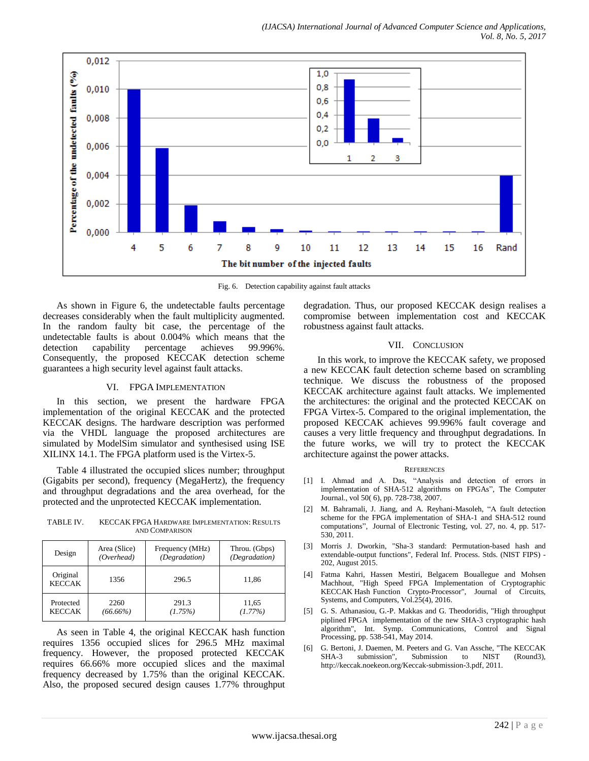

Fig. 6. Detection capability against fault attacks

As shown in Figure 6, the undetectable faults percentage decreases considerably when the fault multiplicity augmented. In the random faulty bit case, the percentage of the undetectable faults is about 0.004% which means that the detection capability percentage achieves 99.996%. Consequently, the proposed KECCAK detection scheme guarantees a high security level against fault attacks.

## VI. FPGA IMPLEMENTATION

In this section, we present the hardware FPGA implementation of the original KECCAK and the protected KECCAK designs. The hardware description was performed via the VHDL language the proposed architectures are simulated by ModelSim simulator and synthesised using ISE XILINX 14.1. The FPGA platform used is the Virtex-5.

Table 4 illustrated the occupied slices number; throughput (Gigabits per second), frequency (MegaHertz), the frequency and throughput degradations and the area overhead, for the protected and the unprotected KECCAK implementation.

TABLE IV. KECCAK FPGA HARDWARE IMPLEMENTATION: RESULTS AND COMPARISON

| Design                    | Area (Slice) | Frequency (MHz) | Throu. (Gbps) |
|---------------------------|--------------|-----------------|---------------|
|                           | (Overhead)   | (Degradation)   | (Degradation) |
| Original<br><b>KECCAK</b> | 1356         | 296.5           | 11,86         |
| Protected                 | 2260         | 291.3           | 11,65         |
| <b>KECCAK</b>             | (66.66%)     | (1.75%)         | $(1.77\%)$    |

As seen in Table 4, the original KECCAK hash function requires 1356 occupied slices for 296.5 MHz maximal frequency. However, the proposed protected KECCAK requires 66.66% more occupied slices and the maximal frequency decreased by 1.75% than the original KECCAK. Also, the proposed secured design causes 1.77% throughput degradation. Thus, our proposed KECCAK design realises a compromise between implementation cost and KECCAK robustness against fault attacks.

## VII. CONCLUSION

In this work, to improve the KECCAK safety, we proposed a new KECCAK fault detection scheme based on scrambling technique. We discuss the robustness of the proposed KECCAK architecture against fault attacks. We implemented the architectures: the original and the protected KECCAK on FPGA Virtex-5. Compared to the original implementation, the proposed KECCAK achieves 99.996% fault coverage and causes a very little frequency and throughput degradations. In the future works, we will try to protect the KECCAK architecture against the power attacks.

#### **REFERENCES**

- [1] I. Ahmad and A. Das, "Analysis and detection of errors in implementation of SHA-512 algorithms on FPGAs", The Computer Journal., vol 50( 6), pp. 728-738, 2007.
- [2] M. Bahramali, J. Jiang, and A. Reyhani-Masoleh, "A fault detection scheme for the FPGA implementation of SHA-1 and SHA-512 round computations", Journal of Electronic Testing, vol. 27, no. 4, pp. 517- 530, 2011.
- [3] Morris J. Dworkin, "Sha-3 standard: Permutation-based hash and extendable-output functions", Federal Inf. Process. Stds. (NIST FIPS) - 202, August 2015.
- [4] Fatma Kahri, Hassen Mestiri, Belgacem Bouallegue and Mohsen Machhout, "High Speed FPGA Implementation of Cryptographic KECCAK Hash Function Crypto-Processor", Journal of Circuits, Systems, and Computers, Vol.25(4), 2016.
- [5] G. S. Athanasiou, G.-P. Makkas and G. Theodoridis, "High throughput piplined FPGA implementation of the new SHA-3 cryptographic hash algorithm", Int. Symp. Communications, Control and Signal Processing, pp. 538-541, May 2014.
- [6] G. Bertoni, J. Daemen, M. Peeters and G. Van Assche, "The KECCAK SHA-3 submission", Submission to NIST (Round3), http://keccak.noekeon.org/Keccak-submission-3.pdf, 2011.